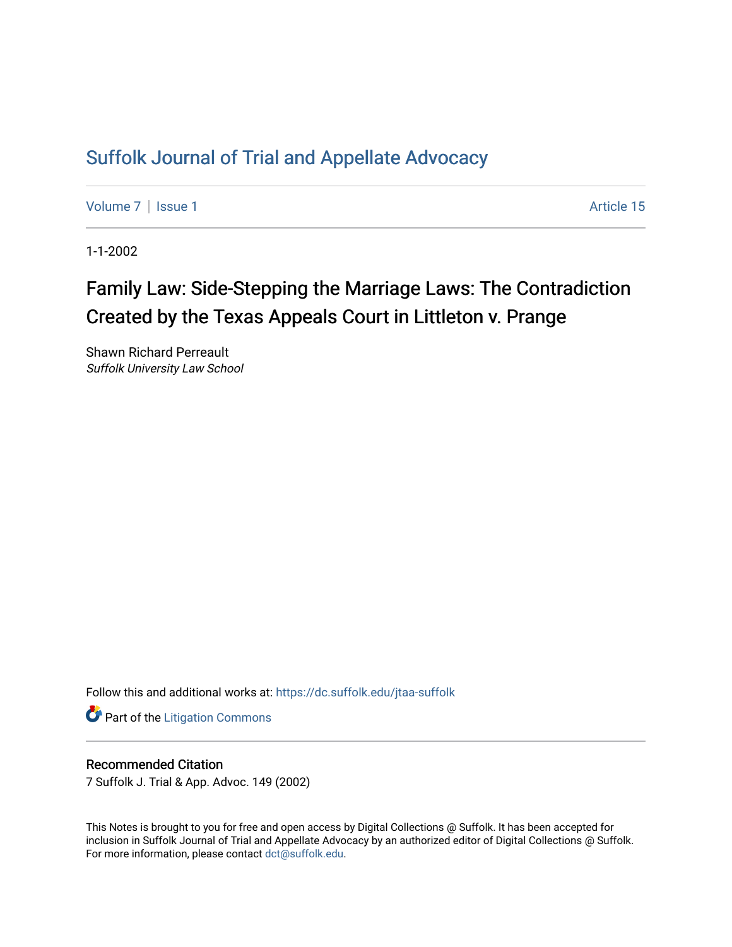## [Suffolk Journal of Trial and Appellate Advocacy](https://dc.suffolk.edu/jtaa-suffolk)

[Volume 7](https://dc.suffolk.edu/jtaa-suffolk/vol7) | [Issue 1](https://dc.suffolk.edu/jtaa-suffolk/vol7/iss1) Article 15

1-1-2002

# Family Law: Side-Stepping the Marriage Laws: The Contradiction Created by the Texas Appeals Court in Littleton v. Prange

Shawn Richard Perreault Suffolk University Law School

Follow this and additional works at: [https://dc.suffolk.edu/jtaa-suffolk](https://dc.suffolk.edu/jtaa-suffolk?utm_source=dc.suffolk.edu%2Fjtaa-suffolk%2Fvol7%2Fiss1%2F15&utm_medium=PDF&utm_campaign=PDFCoverPages) 

**Part of the [Litigation Commons](https://network.bepress.com/hgg/discipline/910?utm_source=dc.suffolk.edu%2Fjtaa-suffolk%2Fvol7%2Fiss1%2F15&utm_medium=PDF&utm_campaign=PDFCoverPages)** 

## Recommended Citation

7 Suffolk J. Trial & App. Advoc. 149 (2002)

This Notes is brought to you for free and open access by Digital Collections @ Suffolk. It has been accepted for inclusion in Suffolk Journal of Trial and Appellate Advocacy by an authorized editor of Digital Collections @ Suffolk. For more information, please contact [dct@suffolk.edu](mailto:dct@suffolk.edu).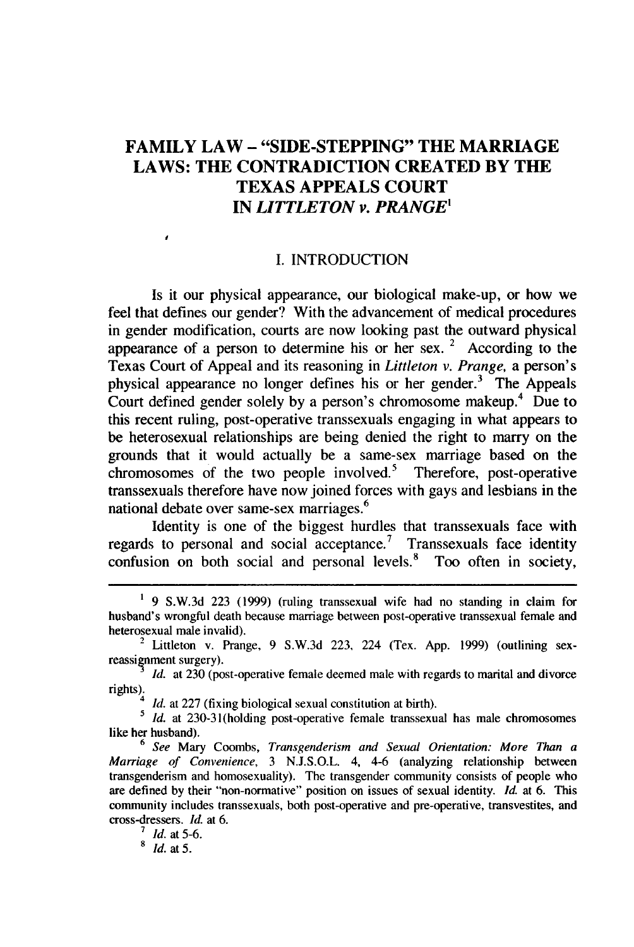## **FAMILY LAW - "SIDE-STEPPING" THE MARRIAGE LAWS: THE CONTRADICTION CREATED BY THE TEXAS APPEALS COURT IN** *LITTLETON v. PRANGE'*

#### **I.** INTRODUCTION

Is it our physical appearance, our biological make-up, or how we feel that defines our gender? With the advancement of medical procedures in gender modification, courts are now looking past the outward physical appearance of a person to determine his or her sex.  $2$  According to the Texas Court of Appeal and its reasoning in *Littleton v. Prange,* a person's physical appearance no longer defines his or her gender. $3$  The Appeals Court defined gender solely **by** a person's chromosome makeup.4 Due to this recent ruling, post-operative transsexuals engaging in what appears to be heterosexual relationships are being denied the right to marry on the grounds that it would actually be a same-sex marriage based on the chromosomes of the two people involved.<sup>5</sup> Therefore, post-operative transsexuals therefore have now joined forces with gays and lesbians in the national debate over same-sex marriages. <sup>6</sup>

Identity is one of the biggest hurdles that transsexuals face with regards to personal and social acceptance.<sup>7</sup> Transsexuals face identity confusion on both social and personal levels.<sup>8</sup> Too often in society,

**<sup>&#</sup>x27; 9 S.W.3d 223 (1999)** (ruling transsexual wife had no standing in claim for husband's wrongful death because marriage between post-operative transsexual female and heterosexual male invalid).

**<sup>2</sup>** Littleton v. Prange, **9 S.W.3d 223,** 224 (Tex. **App. 1999)** (outlining sexreassignment surgery).

*Id.* at **230** (post-operative female deemed male with regards to marital and divorce rights).

*<sup>4</sup>Id.* at **227** (fixing biological sexual constitution at birth).

<sup>&</sup>lt;sup>5</sup> *Id.* at 230-31(holding post-operative female transsexual has male chromosomes like her husband).

**<sup>6</sup>***See* Mary Coombs, *Transgenderism and Sexual Orientation: More Than a Marriage of Convenience,* **3 N.J.S.O.L.** 4, 4-6 (analyzing relationship between transgenderism and homosexuality). The transgender community consists of people who are defined **by** their "non-normative" position on issues of sexual identity. *Id.* at 6. This community includes transsexuals, both post-operative and pre-operative, transvestites, and cross-dressers. *Id.* at **6.**

*Id.* at 5-6. **8** *Id.* at 5.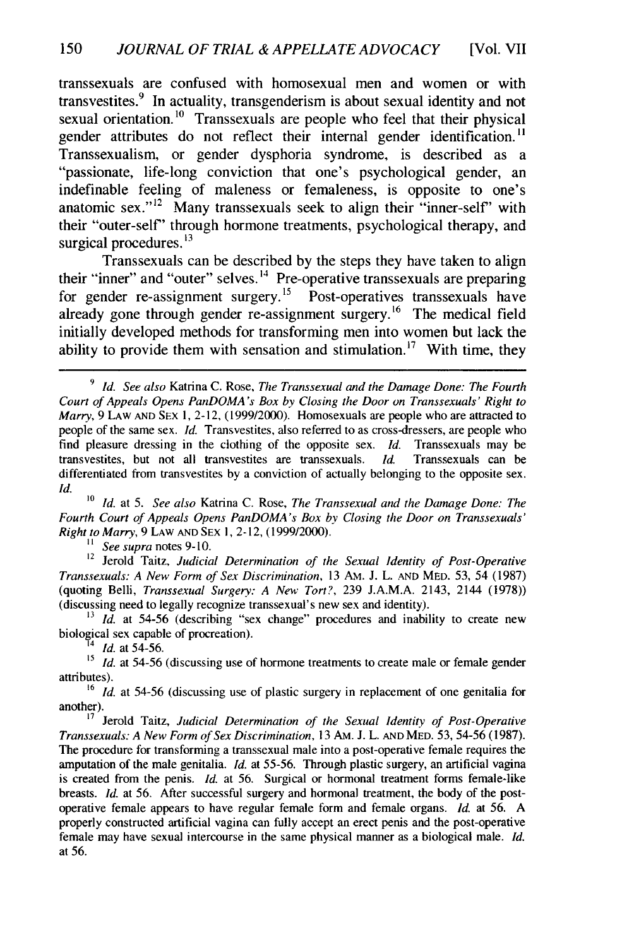transsexuals are confused with homosexual men and women or with transvestites.<sup>9</sup> In actuality, transgenderism is about sexual identity and not sexual orientation.<sup>10</sup> Transsexuals are people who feel that their physical gender attributes do not reflect their internal gender identification.<sup>1</sup> Transsexualism, or gender dysphoria syndrome, is described as a "passionate, life-long conviction that one's psychological gender, an indefinable feeling of maleness or femaleness, is opposite to one's anatomic sex." $12$  Many transsexuals seek to align their "inner-self" with their "outer-self' through hormone treatments, psychological therapy, and surgical procedures. **<sup>13</sup>**

Transsexuals can be described by the steps they have taken to align their "inner" and "outer" selves.<sup>14</sup> Pre-operative transsexuals are preparing for gender re-assignment surgery.<sup>15</sup> Post-operatives transsexuals have already gone through gender re-assignment surgery.<sup>16</sup> The medical field initially developed methods for transforming men into women but lack the ability to provide them with sensation and stimulation.<sup>17</sup> With time, they

*10 Id.* at *5. See also* Katrina C. Rose, *The Transsexual and the Damage Done: The Fourth Court of Appeals Opens PanDOMA's Box by Closing the Door on Transsexuals' Right to Marry,* 9 LAW AND SEX **1,** 2-12, (1999/2000).

**'** *See supra* notes 9-10.

<sup>12</sup> Jerold Taitz, *Judicial Determination of the Sexual Identity of Post-Operative Transsexuals: A New Form of Sex Discrimination,* 13 AM. **J.** L. AND MED. 53, 54 (1987) (quoting Belli, *Transsexual Surgery: A New Tort?,* 239 J.A.M.A. 2143, 2144 (1978)) (discussing need to legally recognize transsexual's new sex and identity).

**<sup>13</sup>***Id.* at 54-56 (describing "sex change" procedures and inability to create new biological sex capable of procreation).

<sup>14</sup> *Id.* at 54-56.<br><sup>15</sup> *Id.* at 54-56 (discussing use of hormone treatments to create male or female gender attributes).

**<sup>16</sup>***Id.* at 54-56 (discussing use of plastic surgery in replacement of one genitalia for another).

<sup>17</sup> Jerold Taitz, *Judicial Determination of the Sexual Identity of Post-Operative Transsexuals: A New Form of Sex Discrimination,* **13** AM. J. L. AND MED. 53, 54-56 (1987). The procedure for transforming a transsexual male into a post-operative female requires the amputation of the male genitalia. *Id.* at 55-56. Through plastic surgery, an artificial vagina is created from the penis. *Id.* at 56. Surgical or hormonal treatment forms female-like breasts. *Id.* at 56. After successful surgery and hormonal treatment, the body of the postoperative female appears to have regular female form and female organs. *Id.* at 56. A properly constructed artificial vagina can fully accept an erect penis and the post-operative female may have sexual intercourse in the same physical manner as a biological male. *Id.* at **56.**

**<sup>9</sup>** *Id. See* also Katrina C. Rose, *The Transsexual and the Damage Done: The Fourth* Court of *Appeals Opens PanDOMA's Box by Closing the Door on Transsexuals' Right to* Marry, 9 LAW AND SEX 1, 2-12, (1999/2000). Homosexuals are people who are attracted to people of the same sex. *Id.* Transvestites, also referred to as cross-dressers, are people who find pleasure dressing in the clothing of the opposite sex. *Id.* Transsexuals may be transvestites, but not all transvestites are transsexuals. *Id.* Transsexuals can be differentiated from transvestites by a conviction of actually belonging to the opposite sex. *Id.*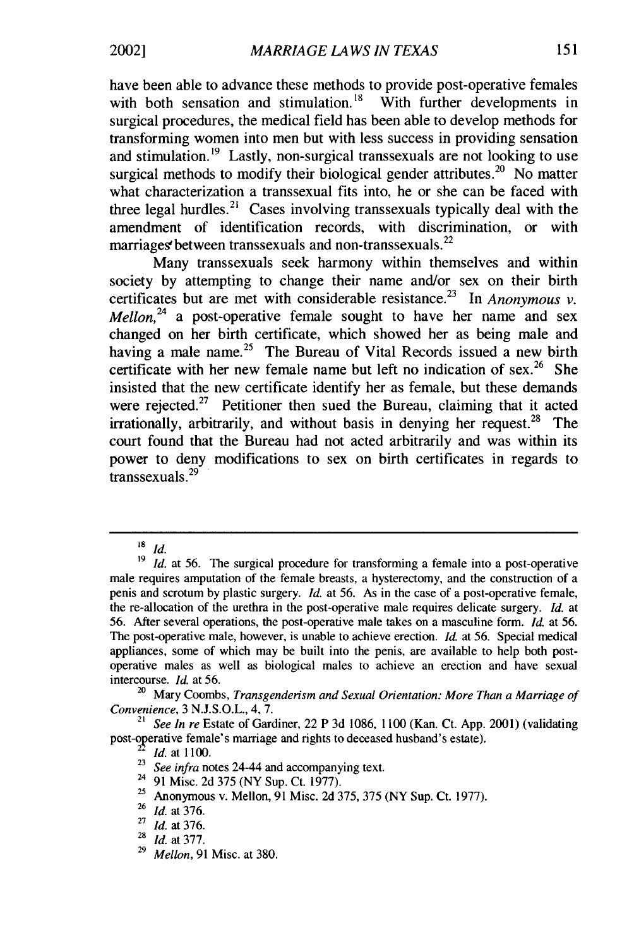have been able to advance these methods to provide post-operative females with both sensation and stimulation.<sup>18</sup> With further developments in surgical procedures, the medical field has been able to develop methods for transforming women into men but with less success in providing sensation and stimulation.<sup>19</sup> Lastly, non-surgical transsexuals are not looking to use surgical methods to modify their biological gender attributes.<sup>20</sup> No matter what characterization a transsexual fits into, he or she can be faced with three legal hurdles.<sup>21</sup> Cases involving transsexuals typically deal with the amendment of identification records, with discrimination, or with marriages between transsexuals and non-transsexuals.<sup>22</sup>

Many transsexuals seek harmony within themselves and within society by attempting to change their name and/or sex on their birth certificates but are met with considerable resistance.23 In *Anonymous v. Mellon*,<sup> $24$ </sup> a post-operative female sought to have her name and sex changed on her birth certificate, which showed her as being male and having a male name.<sup>25</sup> The Bureau of Vital Records issued a new birth certificate with her new female name but left no indication of sex.<sup>26</sup> She insisted that the new certificate identify her as female, but these demands were rejected.<sup>27</sup> Petitioner then sued the Bureau, claiming that it acted irrationally, arbitrarily, and without basis in denying her request.<sup>28</sup> The court found that the Bureau had not acted arbitrarily and was within its power to deny modifications to sex on birth certificates in regards to transsexuals.<sup>29</sup>

*<sup>18</sup> Id.*

<sup>&</sup>lt;sup>19</sup> *Id.* at 56. The surgical procedure for transforming a female into a post-operative male requires amputation of the female breasts, a hysterectomy, and the construction of a penis and scrotum by plastic surgery. *Id.* at 56. As in the case of a post-operative female, the re-allocation of the urethra in the post-operative male requires delicate surgery. *Id.* at 56. After several operations, the post-operative male takes on a masculine form. *Id.* at 56. The post-operative male, however, is unable to achieve erection. *Id.* at 56. Special medical appliances, some of which may be built into the penis, are available to help both postoperative males as well as biological males to achieve an erection and have sexual intercourse. *Id.* at 56.

<sup>&</sup>lt;sup>20</sup> Mary Coombs, *Transgenderism and Sexual Orientation: More Than a Marriage of Convenience,* 3 N.J.S.O.L., 4, 7.

<sup>&</sup>lt;sup>21</sup> See In re Estate of Gardiner, 22 P 3d 1086, 1100 (Kan. Ct. App. 2001) (validating post-operative female's marriage and rights to deceased husband's estate).

<sup>&</sup>lt;sup>22</sup> *Id.* at 1100.<br><sup>23</sup> *See infra* notes 24-44 and accompanying text.

<sup>&</sup>lt;sup>24</sup> 91 Misc. 2d 375 (NY Sup. Ct. 1977).<br><sup>25</sup> Anonymous v. Mellon, 91 Misc. 2d 375, 375 (NY Sup. Ct. 1977).

<sup>26</sup>*Id.* at 376.

<sup>27</sup> *Id.* at 376.

<sup>28</sup>*Id.* at 377.

<sup>29</sup> *Mellon,* 91 Misc. at 380.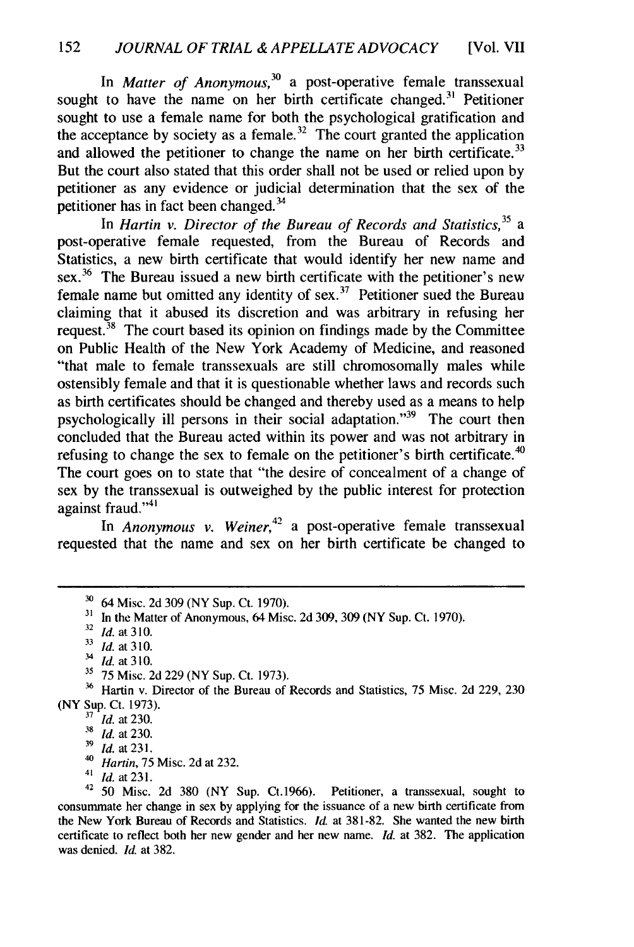In *Matter of Anonymous,<sup>30</sup>*a post-operative female transsexual sought to have the name on her birth certificate changed.<sup>31</sup> Petitioner sought to use a female name for both the psychological gratification and the acceptance by society as a female.<sup>32</sup> The court granted the application and allowed the petitioner to change the name on her birth certificate.<sup>33</sup> But the court also stated that this order shall not be used or relied upon by petitioner as any evidence or judicial determination that the sex of the petitioner has in fact been changed. <sup>34</sup>

In *Hartin v. Director of the Bureau of Records and Statistics,<sup>35</sup>*a post-operative female requested, from the Bureau of Records and Statistics, a new birth certificate that would identify her new name and sex.<sup>36</sup> The Bureau issued a new birth certificate with the petitioner's new  $f$  female name but omitted any identity of sex.<sup>37</sup> Petitioner sued the Bureau claiming that it abused its discretion and was arbitrary in refusing her request.38 The court based its opinion on findings made by the Committee on Public Health of the New York Academy of Medicine, and reasoned "that male to female transsexuals are still chromosomally males while ostensibly female and that it is questionable whether laws and records such as birth certificates should be changed and thereby used as a means to help psychologically ill persons in their social adaptation."<sup>39</sup> The court then concluded that the Bureau acted within its power and was not arbitrary in refusing to change the sex to female on the petitioner's birth certificate.<sup>40</sup> The court goes on to state that "the desire of concealment of a change of sex by the transsexual is outweighed by the public interest for protection against fraud.'

In *Anonymous v. Weiner,<sup>42</sup>*a post-operative female transsexual requested that the name and sex on her birth certificate be changed to

**<sup>34</sup>***Id.* at **3 10.**

<sup>42</sup>50 Misc. 2d 380 (NY Sup. Ct.1966). Petitioner, a transsexual, sought to consummate her change in sex by applying for the issuance of a new birth certificate from the New York Bureau of Records and Statistics. *Id.* at 381-82. She wanted the new birth certificate to reflect both her new gender and her new name. *Id.* at 382. The application was denied. *Id.* at 382.

**<sup>30</sup>**64 Misc. 2d 309 (NY Sup. Ct. 1970).

**<sup>31</sup>** In the Matter of Anonymous, 64 Misc. 2d 309, 309 (NY Sup. Ct. 1970).

<sup>32</sup> *Id.* at **310.**

**<sup>31</sup>***Id.* at **310.**

**<sup>3&#</sup>x27;** 75 Misc. 2d 229 (NY Sup. Ct. 1973).

<sup>&</sup>lt;sup>36</sup> Hartin v. Director of the Bureau of Records and Statistics, 75 Misc. 2d 229, 230 (NY Sup. Ct. 1973).

*<sup>37</sup>Id.* at 230.

<sup>38</sup>*Id.* at 230.

**<sup>39</sup>Id.** at 231.

*<sup>40</sup>Hartin,* 75 Misc. 2d at 232.

 $^{41}_{42}$  *Id.* at 231.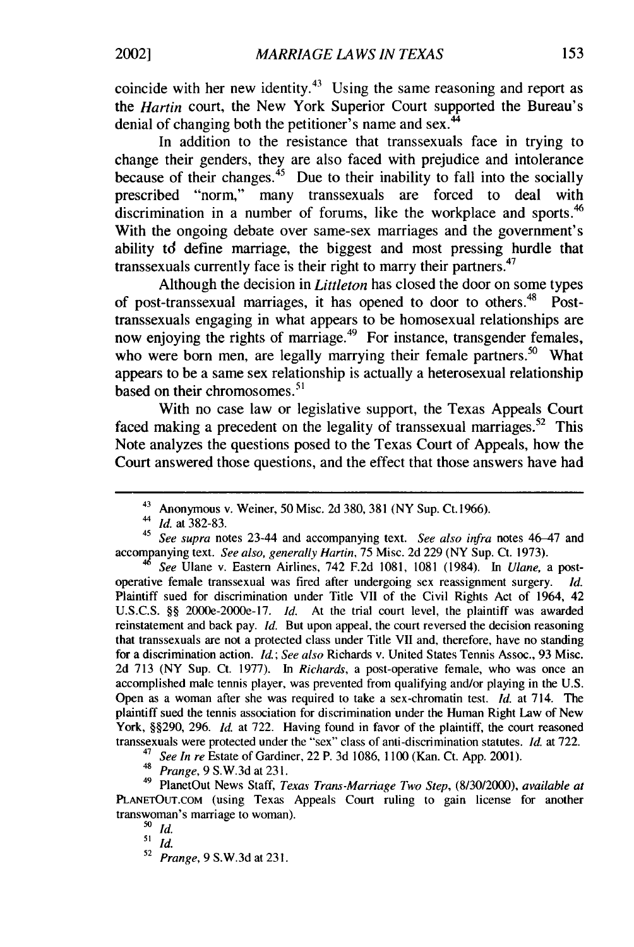coincide with her new identity.<sup>43</sup> Using the same reasoning and report as the *Hartin* court, the New York Superior Court supported the Bureau's denial of changing both the petitioner's name and sex.<sup>44</sup>

In addition to the resistance that transsexuals face in trying to change their genders, they are also faced with prejudice and intolerance because of their changes. $45$  Due to their inability to fall into the socially prescribed "norm," many transsexuals are forced to deal with discrimination in a number of forums, like the workplace and sports.<sup>46</sup> With the ongoing debate over same-sex marriages and the government's ability td define marriage, the biggest and most pressing hurdle that transsexuals currently face is their right to marry their partners.<sup>47</sup>

Although the decision in *Littleton* has closed the door on some types of post-transsexual marriages, it has opened to door to others.<sup>48</sup> Posttranssexuals engaging in what appears to be homosexual relationships are now enjoying the rights of marriage.<sup>49</sup> For instance, transgender females, who were born men, are legally marrying their female partners.<sup>50</sup> What appears to be a same sex relationship is actually a heterosexual relationship based on their chromosomes. <sup>51</sup>

With no case law or legislative support, the Texas Appeals Court faced making a precedent on the legality of transsexual marriages.<sup>52</sup> This Note analyzes the questions posed to the Texas Court of Appeals, how the Court answered those questions, and the effect that those answers have had

<sup>48</sup>*Prange,* 9 S.W.3d at 231.

*<sup>52</sup>Prange,* 9 S.W.3d at 231.

 $43$  Anonymous v. Weiner, 50 Misc. 2d 380, 381 (NY Sup. Ct.1966).

*<sup>&</sup>quot;A Id.* at 382-83.

*<sup>45</sup>See supra* notes 23-44 and accompanying text. *See also infra* notes 46-47 and accompanying text. *See also, generally Hartin,* 75 Misc. 2d 229 (NY Sup. Ct. 1973).

*See* Ulane v. Eastern Airlines, 742 F.2d 1081, 1081 (1984). In *Ulane,* a postoperative female transsexual was fired after undergoing sex reassignment surgery. *Id.* Plaintiff sued for discrimination under Title VII of the Civil Rights Act of 1964, 42 U.S.C.S. §§ 2000e-2000e-17. *Id.* At the trial court level, the plaintiff was awarded reinstatement and back pay. *Id.* But upon appeal, the court reversed the decision reasoning that transsexuals are not a protected class under Title VII and, therefore, have no standing for a discrimination action. *Id.; See also* Richards v. United States Tennis Assoc., 93 Misc. 2d 713 (NY Sup. Ct. 1977). In *Richards,* a post-operative female, who was once an accomplished male tennis player, was prevented from qualifying and/or playing in the U.S. Open as a woman after she was required to take a sex-chromatin test. *Id.* at 714. The plaintiff sued the tennis association for discrimination under the Human Right Law of New York, §§290, 296. *Id.* at 722. Having found in favor of the plaintiff, the court reasoned transsexuals were protected under the "sex" class of anti-discrimination statutes. *Id.* at 722.

<sup>47</sup>*See In re* Estate of Gardiner, 22 P. 3d 1086, 1100 (Kan. Ct. App. 2001).

<sup>49</sup>PlanetOut News Staff, *Texas Trans-Marriage Two Step,* (8/30/2000), *available at* **PLANETOUT.COM** (using Texas Appeals Court ruling to gain license for another transwoman's marriage to woman).

 $\overline{a}$   $\overline{b}$ 

 $51$   $\overline{Id}$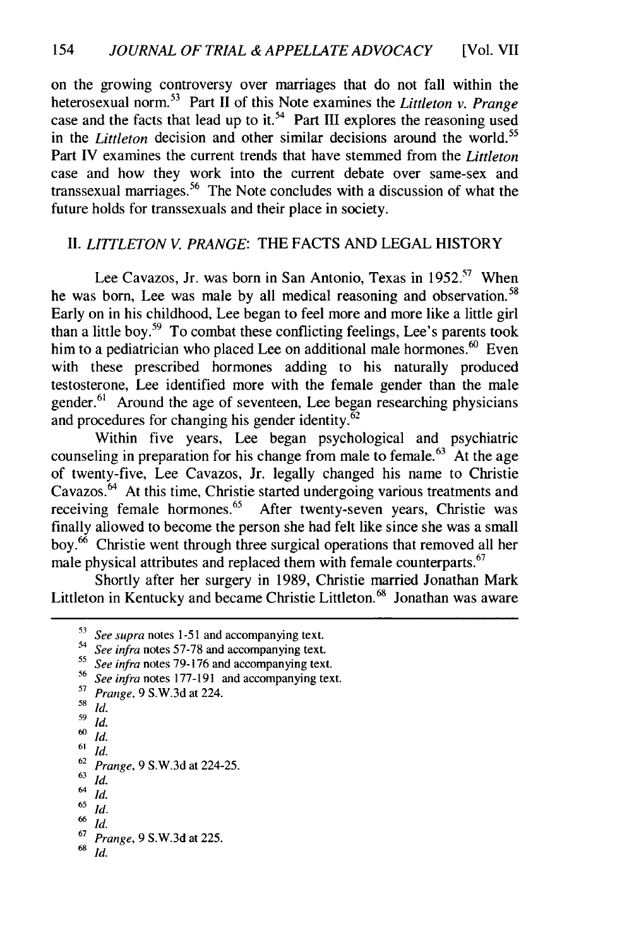on the growing controversy over marriages that do not fall within the heterosexual norm.<sup>53</sup> Part II of this Note examines the *Littleton v. Prange* case and the facts that lead up to it.<sup>54</sup> Part III explores the reasoning used in the *Littleton* decision and other similar decisions around the world.<sup>55</sup> Part IV examines the current trends that have stemmed from the *Littleton* case and how they work into the current debate over same-sex and transsexual marriages.56 The Note concludes with a discussion of what the future holds for transsexuals and their place in society.

## II. *LITTLETON V. PRANGE:* THE FACTS AND LEGAL HISTORY

Lee Cavazos, Jr. was born in San Antonio, Texas in  $1952$ <sup>57</sup> When he was born, Lee was male by all medical reasoning and observation.<sup>58</sup> Early on in his childhood, Lee began to feel more and more like a little girl than a little boy.<sup>59</sup> To combat these conflicting feelings, Lee's parents took him to a pediatrician who placed Lee on additional male hormones.<sup>60</sup> Even with these prescribed hormones adding to his naturally produced testosterone, Lee identified more with the female gender than the male gender.<sup>61</sup> Around the age of seventeen, Lee began researching physicians and procedures for changing his gender identity. $\overline{6}^2$ 

Within five years, Lee began psychological and psychiatric counseling in preparation for his change from male to female.<sup>63</sup> At the age of twenty-five, Lee Cavazos, Jr. legally changed his name to Christie Cavazos.<sup>64</sup> At this time, Christie started undergoing various treatments and receiving female hormones.<sup>65</sup> After twenty-seven years, Christie was finally allowed to become the person she had felt like since she was a small boy.66 Christie went through three surgical operations that removed all her male physical attributes and replaced them with female counterparts.<sup>67</sup>

Shortly after her surgery in 1989, Christie married Jonathan Mark Littleton in Kentucky and became Christie Littleton.<sup>68</sup> Jonathan was aware

**<sup>59</sup>***Id.*

- **<sup>63</sup>***Id.*
- <sup>64</sup>*id*

**68** *Id.*

*<sup>53</sup>See supra* notes 1-51 and accompanying text.

*<sup>54</sup>See infra* notes 57-78 and accompanying text.

*<sup>55</sup>See infra* notes 79-176 and accompanying text.

<sup>56</sup>*See infra* notes 177-191 and accompanying text.

**<sup>57</sup>***Prange,* 9 S.W.3d at 224.

<sup>58</sup>*Id.*

**<sup>6</sup>** *id.*

<sup>61</sup>*Id.*

**<sup>62</sup>***Prange,* 9 S.W.3d at 224-25.

<sup>65</sup>*Id.*

<sup>66</sup> *Id.*

**<sup>67</sup>***Prange,* 9 S.W.3d at 225.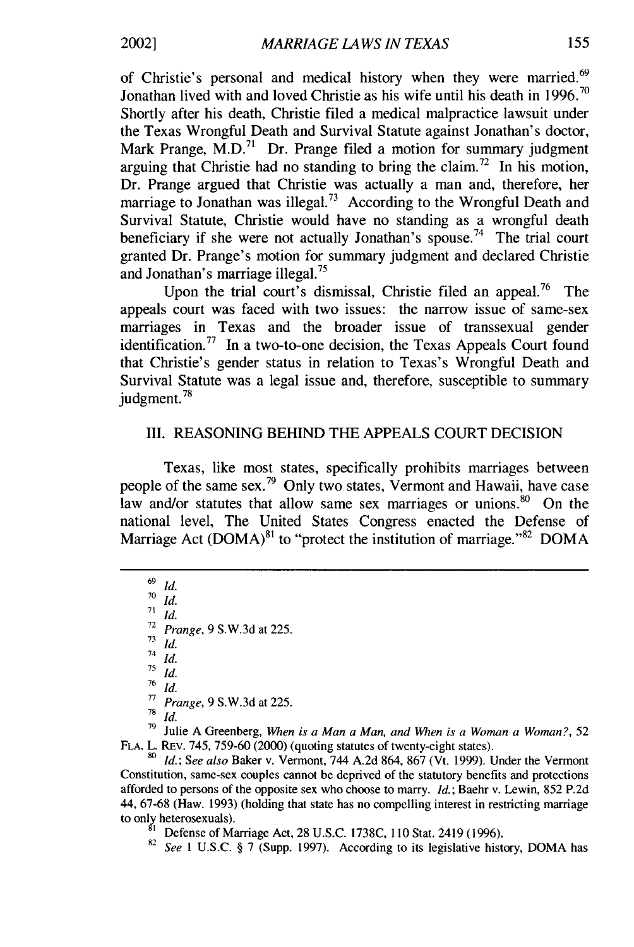of Christie's personal and medical history when they were married.<sup>69</sup> Jonathan lived with and loved Christie as his wife until his death in 1996.<sup>70</sup> Shortly after his death, Christie filed a medical malpractice lawsuit under the Texas Wrongful Death and Survival Statute against Jonathan's doctor, Mark Prange,  $\widetilde{M}$ . D.<sup>71</sup> Dr. Prange filed a motion for summary judgment arguing that Christie had no standing to bring the claim.<sup>72</sup> In his motion, Dr. Prange argued that Christie was actually a man and, therefore, her marriage to Jonathan was illegal.<sup>73</sup> According to the Wrongful Death and Survival Statute, Christie would have no standing as a wrongful death beneficiary if she were not actually Jonathan's spouse.<sup>74</sup> The trial court granted Dr. Prange's motion for summary judgment and declared Christie and Jonathan's marriage illegal.<sup>75</sup>

Upon the trial court's dismissal, Christie filed an appeal.<sup>76</sup> The appeals court was faced with two issues: the narrow issue of same-sex marriages in Texas and the broader issue of transsexual gender identification.<sup>77</sup> In a two-to-one decision, the Texas Appeals Court found that Christie's gender status in relation to Texas's Wrongful Death and Survival Statute was a legal issue and, therefore, susceptible to summary judgment.<sup>78</sup>

### III. REASONING BEHIND THE APPEALS COURT DECISION

Texas, like most states, specifically prohibits marriages between people of the same sex.<sup>79</sup> Only two states, Vermont and Hawaii, have case  $\frac{1}{2}$  and/or statutes that allow same sex marriages or unions.<sup>80</sup> On the national level, The United States Congress enacted the Defense of Marriage Act  $(DOMA)^{81}$  to "protect the institution of marriage."<sup>82</sup> DOMA

<sup>69</sup>*Id.* <sup>70</sup>*Id.* **71** *Id.* <sup>72</sup>*Prange,* 9 S.W.3d at 225. **73** *Id.* 74 *Id.* **75** Id. <sup>76</sup>*Id.* **<sup>77</sup>***Prange,* 9 S.W.3d at 225.

<sup>78</sup>*Id.*

**<sup>79</sup>**Julie A Greenberg, *When is a Man a Man, and When is a Woman a Woman?,* 52 **FLA.** L. REv. 745, 759-60 (2000) (quoting statutes of twenty-eight states).

**<sup>80</sup>***Id.; See also* Baker v. Vermont, 744 A.2d 864, 867 (Vt. 1999). Under the Vermont Constitution, same-sex couples cannot be deprived of the statutory benefits and protections afforded to persons of the opposite sex who choose to marry. *Id.;* Baehr v. Lewin, 852 P.2d 44, 67-68 (Haw. 1993) (holding that state has no compelling interest in restricting marriage to only heterosexuals).

**I** Defense of Marriage Act, 28 U.S.C. 1738C, 110 Stat. 2419 (1996).

<sup>82</sup>*See* 1 U.S.C. § 7 (Supp. 1997). According to its legislative history, DOMA has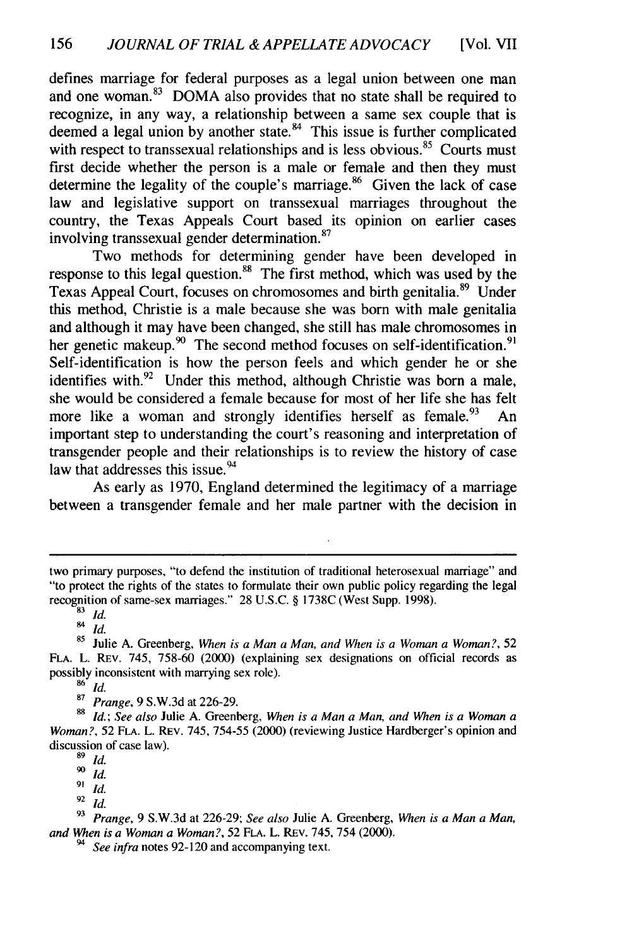defines marriage for federal purposes as a legal union between one man and one woman. $83$  DOMA also provides that no state shall be required to recognize, in any way, a relationship between a same sex couple that is deemed a legal union by another state. $84$  This issue is further complicated with respect to transsexual relationships and is less obvious. $85$  Courts must first decide whether the person is a male or female and then they must determine the legality of the couple's marriage. $86$  Given the lack of case law and legislative support on transsexual marriages throughout the country, the Texas Appeals Court based its opinion on earlier cases involving transsexual gender determination.<sup>87</sup>

Two methods for determining gender have been developed in response to this legal question.<sup>88</sup> The first method, which was used by the Texas Appeal Court, focuses on chromosomes and birth genitalia.<sup>89</sup> Under this method, Christie is a male because she was born with male genitalia and although it may have been changed, she still has male chromosomes in her genetic makeup.<sup>90</sup> The second method focuses on self-identification.<sup>91</sup> Self-identification is how the person feels and which gender he or she identifies with. $92$  Under this method, although Christie was born a male, she would be considered a female because for most of her life she has felt more like a woman and strongly identifies herself as female.<sup>93</sup> An important step to understanding the court's reasoning and interpretation of transgender people and their relationships is to review the history of case law that addresses this issue.<sup>94</sup>

As early as 1970, England determined the legitimacy of a marriage between a transgender female and her male partner with the decision in

**<sup>87</sup>***Prange,* 9 S.W.3d at 226-29.

**<sup>88</sup>***Id.; See also* Julie A. Greenberg, *When is a Man a Man, and When is a Woman a Woman?,* 52 **FLA.** L. REV. 745, 754-55 (2000) (reviewing Justice Hardberger's opinion and discussion of case law).

**9** *Id.*

two primary purposes, "to defend the institution of traditional heterosexual marriage" and "to protect the rights of the states to formulate their own public policy regarding the legal recognition of same-sex marriages." 28 U.S.C. § 1738C (West Supp. 1998).

<sup>83</sup>*Id.*

<sup>84</sup>*Id.*

<sup>&</sup>lt;sup>85</sup> Julie A. Greenberg, *When is a Man a Man, and When is a Woman a Woman?*, 52 **FLA.** L. REV. 745, 758-60 (2000) (explaining sex designations on official records as possibly inconsistent with marrying sex role).  $\frac{6}{5}$ 

<sup>89</sup>*Id.*

<sup>91</sup> *Id.*

<sup>92</sup>*Id.*

**<sup>93</sup>***Prange,* 9 S.W.3d at 226-29; *See also* Julie A. Greenberg, *When is a Man a Man, and When is a Woman a Woman?,* 52 **FLA.** L. REV. 745, 754 (2000).

*<sup>94</sup>See infra* notes 92-120 and accompanying text.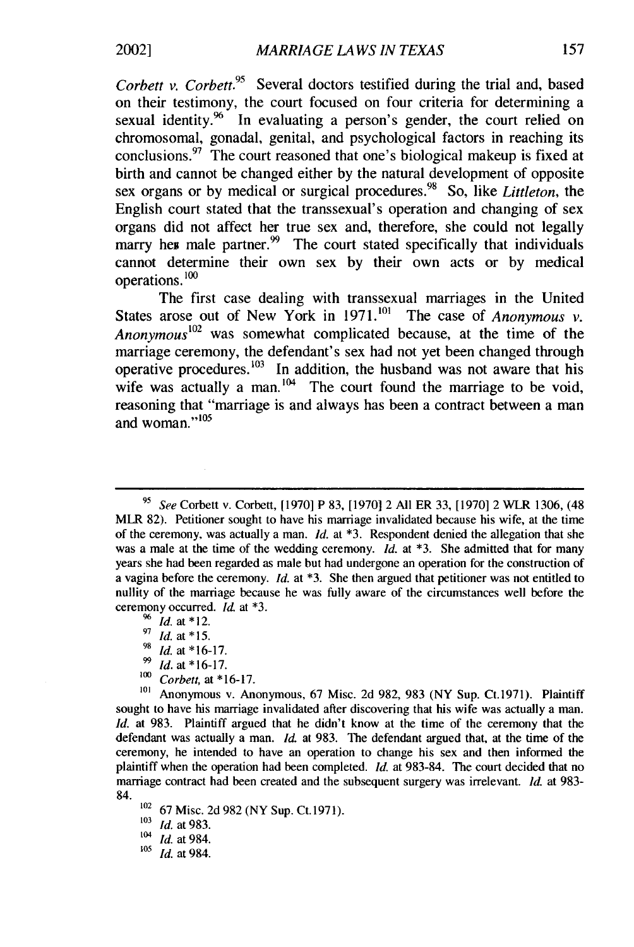*Corbett v. Corbett.*<sup>95</sup> Several doctors testified during the trial and, based on their testimony, the court focused on four criteria for determining a sexual identity.  $96$ <sup>I</sup> In evaluating a person's gender, the court relied on chromosomal, gonadal, genital, and psychological factors in reaching its conclusions. $97$  The court reasoned that one's biological makeup is fixed at birth and cannot be changed either by the natural development of opposite sex organs or by medical or surgical procedures.98 So, like *Littleton,* the English court stated that the transsexual's operation and changing of sex organs did not affect her true sex and, therefore, she could not legally marry her male partner.<sup>99</sup> The court stated specifically that individuals cannot determine their own sex by their own acts or by medical operations. $100$ 

The first case dealing with transsexual marriages in the United States arose out of New York in  $1971$ <sup>101</sup> The case of *Anonymous v.* Anonymous<sup>102</sup> was somewhat complicated because, at the time of the marriage ceremony, the defendant's sex had not yet been changed through operative procedures.<sup>103</sup> In addition, the husband was not aware that his wife was actually a man. $^{104}$  The court found the marriage to be void, reasoning that "marriage is and always has been a contract between a man and woman." $105$ 

- $\frac{98}{99}$  *Id.* at \*16-17.
- **99 Id.** at "16-17.
- **'oo** Corbett, at **\*16-17.**

101 Anonymous v. Anonymous, 67 Misc. 2d 982, 983 (NY Sup. Ct.1971). Plaintiff sought to have his marriage invalidated after discovering that his wife was actually a man. *Id.* at 983. Plaintiff argued that he didn't know at the time of the ceremony that the defendant was actually a man. *Id.* at 983. The defendant argued that, at the time of the ceremony, he intended to have an operation to change his sex and then informed the plaintiff when the operation had been completed. *Id.* at 983-84. The court decided that no marriage contract had been created and the subsequent surgery was irrelevant. *Id.* at 983- 84.

<sup>102</sup> 67 Misc. 2d 982 (NY Sup. Ct.1971).

103 *Id.* at 983.

104 *Id.* at 984.<br><sup>105</sup> *Id.* at 984.

*Id.* at 984.

**<sup>95</sup>***See* Corbett v. Corbett, [1970] P 83, [1970] 2 All ER 33, [1970] 2 WLR 1306, (48 MLR 82). Petitioner sought to have his marriage invalidated because his wife, at the time of the ceremony, was actually a man. *Id.* at **\*3.** Respondent denied the allegation that she was a male at the time of the wedding ceremony. *Id.* at **\*3.** She admitted that for many years she had been regarded as male but had undergone an operation for the construction of a vagina before the ceremony. *Id.* at **\*3.** She then argued that petitioner was not entitled to nullity of the marriage because he was fully aware of the circumstances well before the ceremony occurred. *Id.* at **\*3.**

 $\frac{96}{97}$  *Id.* at \*12.

 $\frac{97}{98}$  *Id.* at \*15.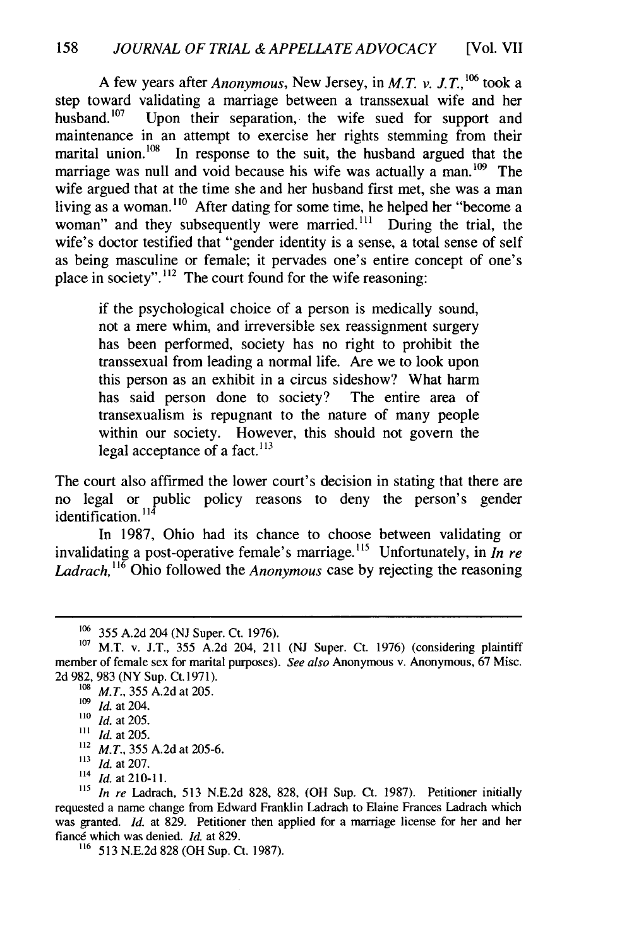A few years after *Anonymous,* New Jersey, in *M.T. v. J.T., "* took a step toward validating a marriage between a transsexual wife and her husband.<sup>107</sup> Upon their separation, the wife sued for support and maintenance in an attempt to exercise her rights stemming from their marital union. $108$  In response to the suit, the husband argued that the marriage was null and void because his wife was actually a man.<sup>109</sup> The wife argued that at the time she and her husband first met, she was a man living as a woman.<sup>110</sup> After dating for some time, he helped her "become a woman" and they subsequently were married.<sup> $111$ </sup> During the trial, the wife's doctor testified that "gender identity is a sense, a total sense of self as being masculine or female; it pervades one's entire concept of one's place in society".<sup>112</sup> The court found for the wife reasoning:

if the psychological choice of a person is medically sound, not a mere whim, and irreversible sex reassignment surgery has been performed, society has no right to prohibit the transsexual from leading a normal life. Are we to look upon this person as an exhibit in a circus sideshow? What harm has said person done to society? The entire area of transexualism is repugnant to the nature of many people within our society. However, this should not govern the legal acceptance of a fact. $^{113}$ 

The court also affirmed the lower court's decision in stating that there are no legal or public policy reasons to deny the person's gender identification. $114$ 

In 1987, Ohio had its chance to choose between validating or invalidating a post-operative female's marriage.<sup>115</sup> Unfortunately, in  $\overline{I}n$  re *Ladrach,* **16** Ohio followed the *Anonymous* case by rejecting the reasoning

**<sup>&#</sup>x27;06 355** A.2d 204 (NJ Super. Ct. 1976).

**<sup>10&#</sup>x27;** M.T. v. J.T., 355 A.2d 204, 211 (NJ Super. Ct. 1976) (considering plaintiff member of female sex for marital purposes). *See also* Anonymous v. Anonymous, 67 Misc. 2d 982, 983 (NY Sup. Ct. 1971).

<sup>&</sup>lt;sup>108</sup> *M.T.*, 355 A.2d at 205.

<sup>&</sup>lt;sup>109</sup> *Id.* at 204.<br><sup>110</sup> *Id.* at 205.

 $\frac{1}{11}$  *Id.* at 205.

**<sup>112</sup>** *M.T.,* 355 A.2d at 205-6.

<sup>&</sup>lt;sup>113</sup> *Id.* at 207.

<sup>114</sup>*Id.* at 210-11.

**<sup>115</sup>** *In re* Ladrach, 513 N.E.2d 828, 828, (OH Sup. Ct. 1987). Petitioner initially requested a name change from Edward Franklin Ladrach to Elaine Frances Ladrach which was granted. *Id.* at 829. Petitioner then applied for a marriage license for her and her fiancé which was denied. *Id.* at 829.<br><sup>116</sup> 513 N.E.2d 828 (OH Sup. Ct. 1987).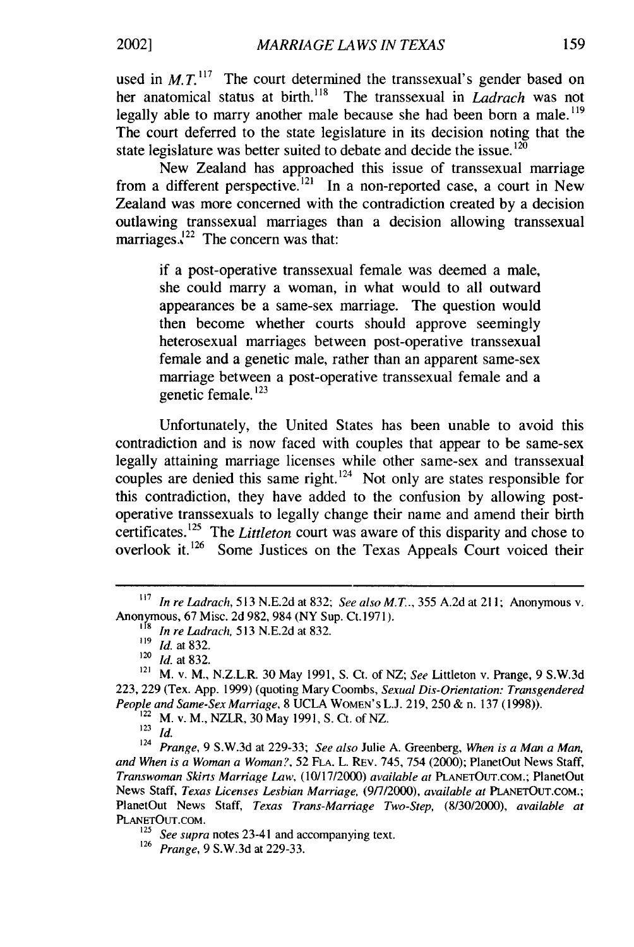used in  $M.T$ . <sup>117</sup> The court determined the transsexual's gender based on her anatomical status at birth.118 The transsexual in *Ladrach* was not legally able to marry another male because she had been born a male.<sup>119</sup> The court deferred to the state legislature in its decision noting that the state legislature was better suited to debate and decide the issue.  $120$ 

New Zealand has approached this issue of transsexual marriage from a different perspective.<sup>121</sup> In a non-reported case, a court in New Zealand was more concerned with the contradiction created by a decision outlawing transsexual marriages than a decision allowing transsexual marriages. $1^{22}$  The concern was that:

if a post-operative transsexual female was deemed a male, she could marry a woman, in what would to all outward appearances be a same-sex marriage. The question would then become whether courts should approve seemingly heterosexual marriages between post-operative transsexual female and a genetic male, rather than an apparent same-sex marriage between a post-operative transsexual female and a genetic female.<sup>123</sup>

Unfortunately, the United States has been unable to avoid this contradiction and is now faced with couples that appear to be same-sex legally attaining marriage licenses while other same-sex and transsexual couples are denied this same right.<sup>124</sup> Not only are states responsible for this contradiction, they have added to the confusion by allowing postoperative transsexuals to legally change their name and amend their birth certificates. 125 The *Littleton* court was aware of this disparity and chose to overlook it.<sup>126</sup> Some Justices on the Texas Appeals Court voiced their

<sup>114</sup>*Prange,* 9 S.W.3d at 229-33; *See also* Julie A. Greenberg, *When is a Man a Man, and When is a Woman a Woman?,* 52 FLA. L. REV. 745, 754 (2000); PlanetOut News Staff, *Transwoman Skirts Marriage Law,* (10/17/2000) *available at* PLANETOUT.COM.; PlanetOut News Staff, *Texas Licenses Lesbian Marriage,* (9/7/2000), *available at* PLANETOUT.COM.; PlanetOut News Staff, *Texas Trans-Marriage Two-Step,* (8/30/2000), *available at* PLANETOUT.COM.

**<sup>117</sup>***In re* Ladrach, 513 N.E.2d at 832; *See also M.T..,* 355 A.2d at 211 : Anonymous v. Anonymous, 67 Misc. 2d 982, 984 (NY Sup. Ct.1971).

<sup>&</sup>lt;sup>118</sup> *In re Ladrach*, 513 N.E.2d at 832.

**<sup>&</sup>quot;9** *Id.* at 832.

<sup>120</sup> *Id.* at 832.

**<sup>&</sup>quot;'** M. v. M., N.Z.L.R. 30 May 1991, S. Ct. of NZ; *See* Littleton v. Prange, 9 S.W.3d 223, 229 (Tex. App. 1999) (quoting Mary Coombs, *Sexual Dis-Orientation: Transgendered People and Same-Sex Marriage,* 8 UCLA WOMEN'S L.J. 219, 250 & n. 137 (1998)).

<sup>122</sup> M. v. M., NZLR, 30 May 1991, S. Ct. of NZ.

<sup>123</sup> *id.*

<sup>&</sup>lt;sup>125</sup> *See supra* notes 23-41 and accompanying text.

**<sup>126</sup>***Prange,* 9 S.W.3d at 229-33.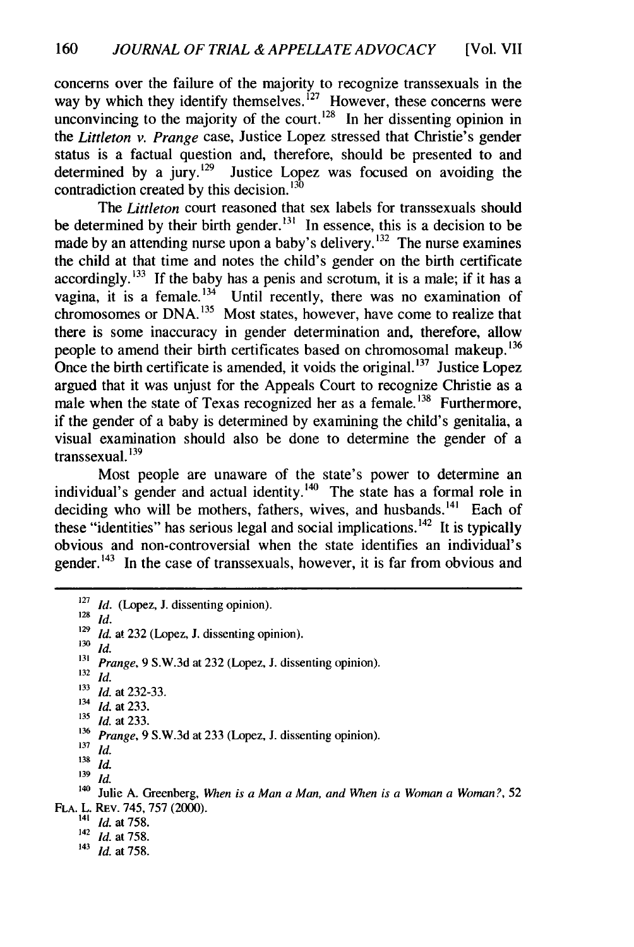concerns over the failure of the majority to recognize transsexuals in the way by which they identify themselves.  $^{127}$  However, these concerns were unconvincing to the majority of the court.<sup> $128$ </sup> In her dissenting opinion in the *Littleton v. Prange* case, Justice Lopez stressed that Christie's gender status is a factual question and, therefore, should be presented to and determined by a jury.<sup>129</sup> Justice Lopez was focused on avoiding the Justice Lopez was focused on avoiding the contradiction created by this decision. $130$ 

The *Littleton* court reasoned that sex labels for transsexuals should be determined by their birth gender.<sup>131</sup> In essence, this is a decision to be made by an attending nurse upon a baby's delivery.<sup>132</sup> The nurse examines the child at that time and notes the child's gender on the birth certificate accordingly.<sup>133</sup> If the baby has a penis and scrotum, it is a male; if it has a vagina, it is a female.<sup>134</sup> Until recently, there was no examination of chromosomes or DNA.135 Most states, however, have come to realize that there is some inaccuracy in gender determination and, therefore, allow people to amend their birth certificates based on chromosomal makeup.<sup>136</sup> Once the birth certificate is amended, it voids the original. $137$  Justice Lopez argued that it was unjust for the Appeals Court to recognize Christie as a male when the state of Texas recognized her as a female.<sup>138</sup> Furthermore, if the gender of a baby is determined by examining the child's genitalia, a visual examination should also be done to determine the gender of a transsexual. **1 39**

Most people are unaware of the state's power to determine an individual's gender and actual identity.<sup>140</sup> The state has a formal role in deciding who will be mothers, fathers, wives, and husbands.<sup>141</sup> Each of these "identities" has serious legal and social implications.<sup>142</sup> It is typically obvious and non-controversial when the state identifies an individual's gender.<sup>143</sup> In the case of transsexuals, however, it is far from obvious and

**<sup>127</sup>***Id.* (Lopez, J. dissenting opinion). **<sup>128</sup>***Id.* **<sup>129</sup>***Id.* at **232** (Lopez, J. dissenting opinion). **<sup>130</sup>***id. <sup>131</sup>Prange,* 9 S.W.3d at 232 (Lopez, J. dissenting opinion). **<sup>132</sup>***Id.* **<sup>133</sup>***Id.* at 232-33. *'4 Id.* at 233. **131 Id.** at 233. **<sup>136</sup>***Prange,* 9 S.W.3d at 233 (Lopez, **J.** dissenting opinion). **<sup>137</sup>***Id.* **<sup>138</sup>***Id. <sup>139</sup>Id.* <sup>140</sup> Julie A. Greenberg, *When is a Man a Man, and When is a Woman a Woman?*, 52 **FLA.** L. REv. 745, **757 (2000). 141** *Id.* at 758. *'42 Id.* at 758. *<sup>143</sup>Id.* at 758.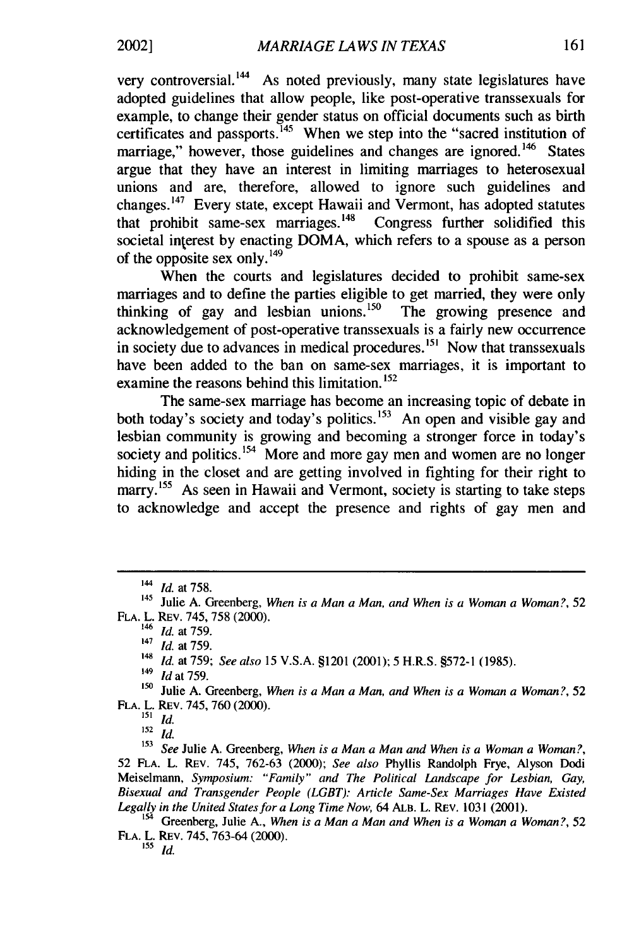very controversial.<sup>144</sup> As noted previously, many state legislatures have adopted guidelines that allow people, like post-operative transsexuals for example, to change their gender status on official documents such as birth certificates and passports.  $45$  When we step into the "sacred institution of marriage," however, those guidelines and changes are ignored.<sup>146</sup> States argue that they have an interest in limiting marriages to heterosexual unions and are, therefore, allowed to ignore such guidelines and changes.<sup>147</sup> Every state, except Hawaii and Vermont, has adopted statutes that prohibit same-sex marriages.<sup>148</sup> Congress further solidified this that prohibit same-sex marriages.  $148$ societal interest by enacting DOMA, which refers to a spouse as a person of the opposite sex only. $^{149}$ 

When the courts and legislatures decided to prohibit same-sex marriages and to define the parties eligible to get married, they were only thinking of gay and lesbian unions.<sup>150</sup> The growing presence and acknowledgement of post-operative transsexuals is a fairly new occurrence in society due to advances in medical procedures.<sup>151</sup> Now that transsexuals have been added to the ban on same-sex marriages, it is important to examine the reasons behind this limitation. **<sup>1</sup> 52**

The same-sex marriage has become an increasing topic of debate in both today's society and today's politics.<sup>153</sup> An open and visible gay and lesbian community is growing and becoming a stronger force in today's society and politics.  $154$  More and more gay men and women are no longer hiding in the closet and are getting involved in fighting for their right to marry.<sup>155</sup> As seen in Hawaii and Vermont, society is starting to take steps to acknowledge and accept the presence and rights of gay men and

2002]

*<sup>&#</sup>x27;44 Id.* at 758.

<sup>145</sup> Julie A. Greenberg, *When is a* Man a Man, *and When is a* Woman *a Woman?, 52* **FLA.** L. REV. 745, 758 (2000).

*<sup>,46</sup> Id.* at 759. <sup>147</sup>*Id.* at 759.

<sup>148</sup>*Id.* at 759; *See also* 15 V.S.A. §1201 (2001); 5 H.R.S. §572-1 (1985).

*<sup>&#</sup>x27;49 Id* at 759.

<sup>&</sup>lt;sup>150</sup> Julie A. Greenberg, *When is a Man a Man, and When is a Woman a Woman?*, 52 **FLA.** L. REV. 745, 760 (2000).

*<sup>151</sup> Id.*

 $152 \frac{152}{1}$ 

<sup>153</sup>*See* Julie A. Greenberg, *When is a Man a Man and When is a Woman a Woman?,* 52 **FLA.** L. REV. 745, 762-63 (2000); *See also* Phyllis Randolph Frye, Alyson Dodi Meiselmann, *Symposium: "Family" and The Political Landscape for Lesbian, Gay, Bisexual and Transgender People (LGBT): Article Same-Sex Marriages Have Existed Legally in the United States for a Long Time Now,* 64 ALB. L. REV. 1031 (2001).

<sup>&</sup>lt;sup>154</sup> Greenberg, Julie A., *When is a Man a Man and When is a Woman a Woman?*, 52 **FLA.** L. REV. 745, 763-64 (2000).  $155$   $1d$ .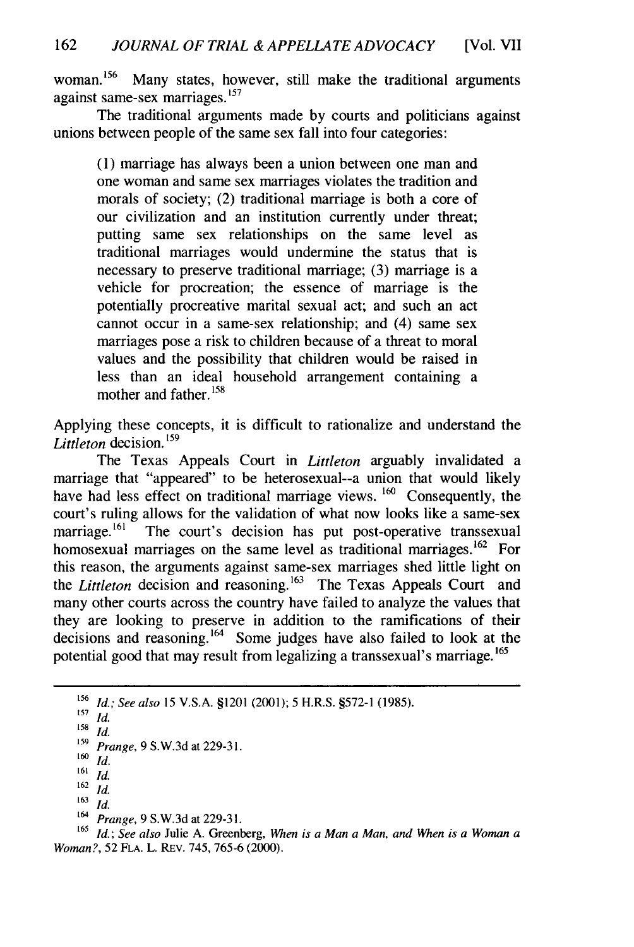woman.<sup>156</sup> Many states, however, still make the traditional arguments against same-sex marriages. <sup>157</sup>

The traditional arguments made by courts and politicians against unions between people of the same sex fall into four categories:

(1) marriage has always been a union between one man and one woman and same sex marriages violates the tradition and morals of society; (2) traditional marriage is both a core of our civilization and an institution currently under threat; putting same sex relationships on the same level as traditional marriages would undermine the status that is necessary to preserve traditional marriage; (3) marriage is a vehicle for procreation; the essence of marriage is the potentially procreative marital sexual act; and such an act cannot occur in a same-sex relationship; and (4) same sex marriages pose a risk to children because of a threat to moral values and the possibility that children would be raised in less than an ideal household arrangement containing a mother and father.  $158$ 

Applying these concepts, it is difficult to rationalize and understand the Littleton decision.<sup>159</sup>

The Texas Appeals Court in *Littleton* arguably invalidated a marriage that "appeared" to be heterosexual--a union that would likely have had less effect on traditional marriage views. **160** Consequently, the court's ruling allows for the validation of what now looks like a same-sex marriage.<sup>161</sup> The court's decision has put post-operative transsexual homosexual marriages on the same level as traditional marriages.  $^{162}$  For this reason, the arguments against same-sex marriages shed little light on the *Littleton* decision and reasoning.<sup>163</sup> The Texas Appeals Court and many other courts across the country have failed to analyze the values that they are looking to preserve in addition to the ramifications of their decisions and reasoning.'64 Some judges have also failed to look at the potential good that may result from legalizing a transsexual's marriage.<sup>165</sup>

- <sup>161</sup>*id.*  $162 \frac{10}{14}$
- <sup>163</sup>*Id.*
- 
- *<sup>164</sup>Prange,* 9 S.W.3d at 229-3 1.

<sup>165</sup>*Id.; See also* Julie A. Greenberg, *When is a Man a Man, and When is a Woman a Woman?,* 52 **FLA.** L. REv. 745, 765-6 (2000).

<sup>156</sup>*Id.; See also* 15 V.S.A. §1201 (2001); 5 H.R.S. §572-1 (1985).

**<sup>157</sup>***Id.*

<sup>158</sup>*Id.*

*<sup>159</sup>Prange,* 9 S.W.3d at 229-3 1.

*<sup>160</sup>Id.*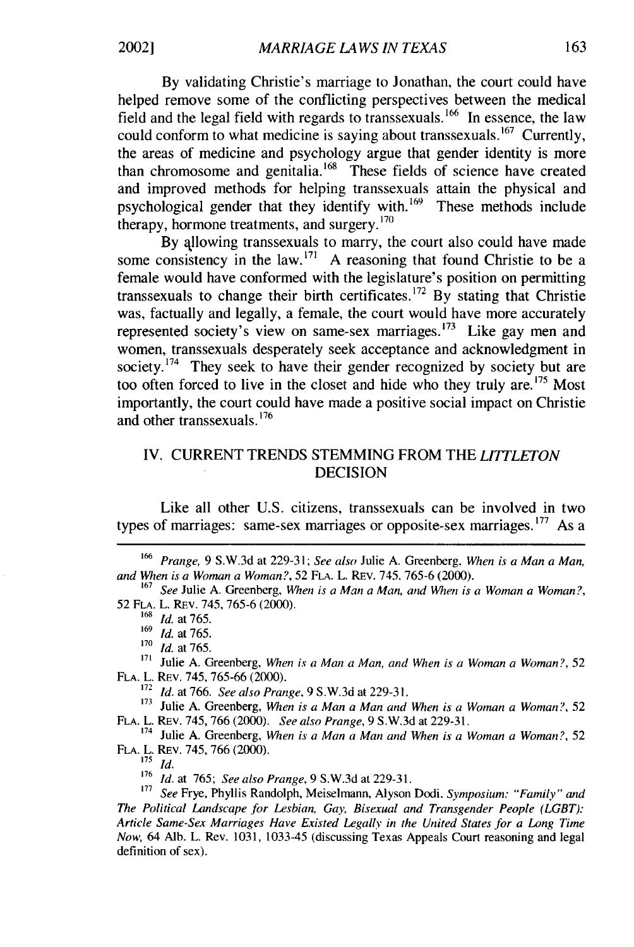By validating Christie's marriage to Jonathan, the court could have helped remove some of the conflicting perspectives between the medical field and the legal field with regards to transsexuals.166 In essence, the law could conform to what medicine is saying about transsexuals. <sup>167</sup> Currently, the areas of medicine and psychology argue that gender identity is more than chromosome and genitalia.168 These fields of science have created and improved methods for helping transsexuals attain the physical and psychological gender that they identify with. $169$  These methods include therapy, hormone treatments, and surgery. **<sup>1</sup> 7 0**

By allowing transsexuals to marry, the court also could have made some consistency in the  $\text{law}$ . <sup>171</sup> A reasoning that found Christie to be a female would have conformed with the legislature's position on permitting transsexuals to change their birth certificates.<sup>172</sup> By stating that Christie was, factually and legally, a female, the court would have more accurately represented society's view on same-sex marriages.<sup>173</sup> Like gay men and women, transsexuals desperately seek acceptance and acknowledgment in society.<sup> $174$ </sup> They seek to have their gender recognized by society but are too often forced to live in the closet and hide who they truly are.<sup>175</sup> Most importantly, the court could have made a positive social impact on Christie and other transsexuals.<sup>176</sup>

## IV. CURRENT TRENDS STEMMING FROM THE *LITTLETON* DECISION

Like all other U.S. citizens, transsexuals can be involved in two types of marriages: same-sex marriages or opposite-sex marriages. **177** As a

<sup>172</sup>*Id.* at 766. *See also Prange,* **9** S.W.3d at 229-3 1.

1*0. at 100. See also I tange*, *7 S.W.Sa at 227-31.*<br><sup>173</sup> Julie A. Greenberg, *When is a Man a Man and When is a Woman a Woman?, <sup>52</sup>* **FLA.** L. REv. 745, 766 (2000). *See also Prange,* 9 S.W.3d at 229-31.

FLA. L. REV. 745, 766 (2000). *See also Prange*, 9 S.W.3d at 229-31.<br><sup>174</sup> Julie A. Greenberg, *When is a Man a Man and When is a Woman a Woman?*, 52 **FLA.** L. REv. 745, 766 (2000).

*175 Id.*

176 *Id.* at 765; *See also Prange*, 9 S.W.3d at 229-31.

**<sup>177</sup>***See* Frye, Phyllis Randolph, Meiselmann, Alyson Dodi. *Symposium: "Family" and The Political Landscape for Lesbian, Gay, Bisexual and Transgender People (LGBT): Article Same-Sex Marriages Have Existed Legally in the United States for a Long Time* Now, 64 **Alb.** L. Rev. 1031, 1033-45 (discussing Texas Appeals Court reasoning and legal definition of sex).

*<sup>166</sup>Prange,* 9 S.W.3d at 229-31; *See also* Julie A. Greenberg, *When is a Man a Man, and When is a Woman a Woman?,* 52 **FLA.** L. REv. 745. 765-6 (2000).

<sup>167</sup>*See* Julie A. Greenberg, *When is a Man a Man, and When is a Woman a Woman?,* 52 **FLA.** L. REv. 745, 765-6 (2000).

<sup>168</sup> *Id.* at 765.

<sup>169</sup>*Id.* at 765.

<sup>170</sup> *Id.* at 765.

<sup>&</sup>lt;sup>171</sup> Julie A. Greenberg, *When is a Man a Man, and When is a Woman a Woman?*, 52 **FLA.** L. REv. 745, 765-66 (2000).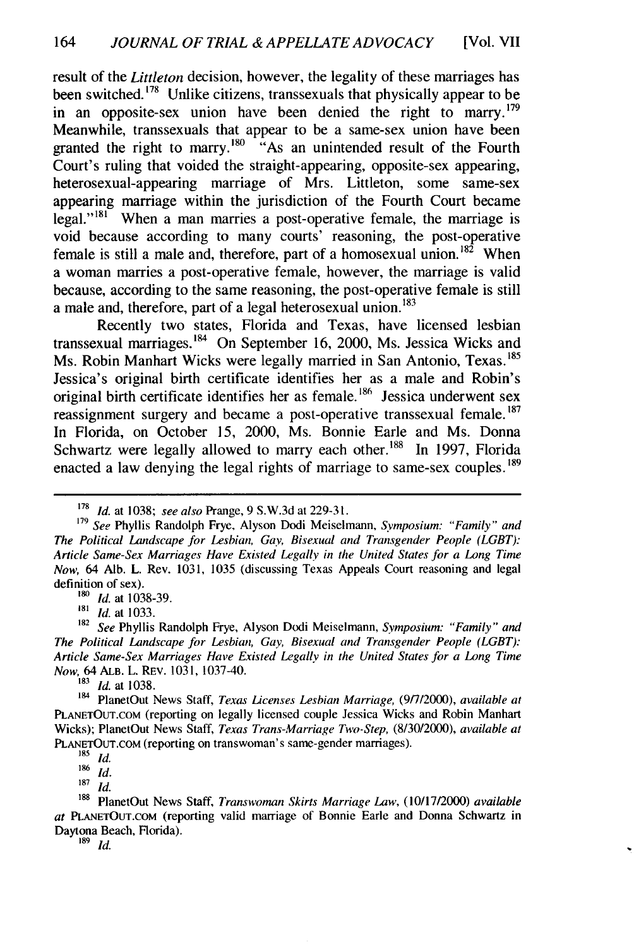result of the *Littleton* decision, however, the legality of these marriages has been switched.<sup>178</sup> Unlike citizens, transsexuals that physically appear to be in an opposite-sex union have been denied the right to marry.<sup>179</sup> Meanwhile, transsexuals that appear to be a same-sex union have been granted the right to marry.<sup>180</sup>  $48^\circ$  an unintended result of the Fourth Court's ruling that voided the straight-appearing, opposite-sex appearing, heterosexual-appearing marriage of Mrs. Littleton, some same-sex appearing marriage within the jurisdiction of the Fourth Court became  $\text{legal."}^{181}$  When a man marries a post-operative female, the marriage is void because according to many courts' reasoning, the post-operative female is still a male and, therefore, part of a homosexual union.<sup>182</sup> When a woman marries a post-operative female, however, the marriage is valid because, according to the same reasoning, the post-operative female is still a male and, therefore, part of a legal heterosexual union.<sup>183</sup>

Recently two states, Florida and Texas, have licensed lesbian transsexual marriages.  $184$  On September 16, 2000, Ms. Jessica Wicks and Ms. Robin Manhart Wicks were legally married in San Antonio, Texas.<sup>185</sup> Jessica's original birth certificate identifies her as a male and Robin's original birth certificate identifies her as female.<sup>186</sup> Jessica underwent sex reassignment surgery and became a post-operative transsexual female.<sup>187</sup> In Florida, on October 15, 2000, Ms. Bonnie Earle and Ms. Donna Schwartz were legally allowed to marry each other.<sup>188</sup> In 1997, Florida enacted a law denying the legal rights of marriage to same-sex couples.<sup>189</sup>

*"0 Id.* at 1038-39. **,81** *Id.* at 1033.

**<sup>178</sup>***Id.* at **1038;** *seealso* Prange, **9** S.W.3d at 229-31.

**<sup>179</sup>**See Phyllis Randolph Frye, Alyson Dodi Meiselmann, Symposium: "Family" and The Political Landscape for Lesbian, Gay, Bisexual and Transgender People (LGBT): Article Same-Sex Marriages Have Existed Legally in the United States for a Long Time Now, 64 Alb. L. Rev. 1031, 1035 (discussing Texas Appeals Court reasoning and legal definition of sex).

<sup>&</sup>lt;sup>182</sup> See Phyllis Randolph Frye, Alyson Dodi Meiselmann, Symposium: "Family" and The Political Landscape for Lesbian, Gay, Bisexual and Transgender People (LGBT): Article Same-Sex Marriages Have Existed Legally in the United States for a Long Time Now, 64 ALB. L. REV. 1031, 1037-40.

**<sup>183</sup> Id.** at 1038.

<sup>184</sup> **PlanetOut News Staff, Texas Licenses Lesbian Marriage, (9/7/2000), available at** PLANETOUT.COM (reporting on legally licensed couple Jessica Wicks and Robin Manhart Wicks); PlanetOut News Staff, Texas Trans-Marriage Two-Step, (8/30/2000), *available at* PLANETOUT.COM (reporting on transwoman's same-gender marriages).

**<sup>185</sup>** *Id.*

<sup>186</sup> *i* 

<sup>187</sup>  $\frac{10}{14}$ 

**<sup>188</sup>** PlanetOut News Staff, Transwoman Skirts Marriage Law, *(10/17/2000)* available at **PLANETOUT.COM** (reporting valid marriage of Bonnie Earle and Donna Schwartz in Daytona Beach, Florida).

 $189$  *Id.*